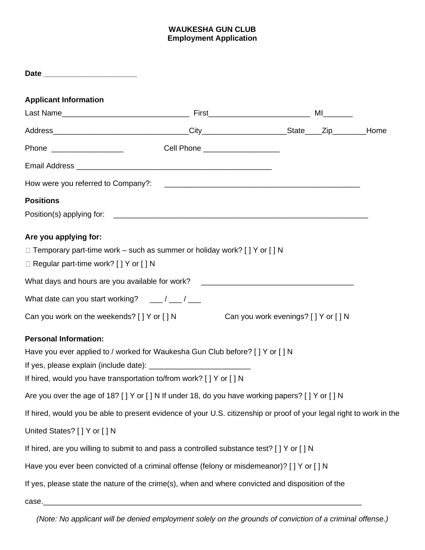## **WAUKESHA GUN CLUB Employment Application**

| <b>Applicant Information</b>                                                                                         |                                       |  |      |
|----------------------------------------------------------------------------------------------------------------------|---------------------------------------|--|------|
|                                                                                                                      |                                       |  |      |
|                                                                                                                      |                                       |  | Home |
|                                                                                                                      | Cell Phone _____________________      |  |      |
|                                                                                                                      |                                       |  |      |
|                                                                                                                      |                                       |  |      |
| <b>Positions</b>                                                                                                     |                                       |  |      |
|                                                                                                                      |                                       |  |      |
| Are you applying for:                                                                                                |                                       |  |      |
| $\Box$ Temporary part-time work – such as summer or holiday work? [ ] Y or [ ] N                                     |                                       |  |      |
| $\Box$ Regular part-time work? [ ] Y or [ ] N                                                                        |                                       |  |      |
| What days and hours are you available for work? _________________________________                                    |                                       |  |      |
| What date can you start working? $\frac{1}{\sqrt{2}}$ / $\frac{1}{\sqrt{2}}$                                         |                                       |  |      |
| Can you work on the weekends? [ ] Y or [ ] N                                                                         | Can you work evenings? [ ] Y or [ ] N |  |      |
| <b>Personal Information:</b>                                                                                         |                                       |  |      |
| Have you ever applied to / worked for Waukesha Gun Club before? [ ] Y or [ ] N                                       |                                       |  |      |
|                                                                                                                      |                                       |  |      |
| If hired, would you have transportation to/from work? [ ] Y or [ ] N                                                 |                                       |  |      |
| Are you over the age of 18? [ ] Y or [ ] N If under 18, do you have working papers? [ ] Y or [ ] N                   |                                       |  |      |
| If hired, would you be able to present evidence of your U.S. citizenship or proof of your legal right to work in the |                                       |  |      |
| United States? [ ] Y or [ ] N                                                                                        |                                       |  |      |
| If hired, are you willing to submit to and pass a controlled substance test? [ ] Y or [ ] N                          |                                       |  |      |
| Have you ever been convicted of a criminal offense (felony or misdemeanor)? [ ] Y or [ ] N                           |                                       |  |      |
| If yes, please state the nature of the crime(s), when and where convicted and disposition of the                     |                                       |  |      |
| case.                                                                                                                |                                       |  |      |

*(Note: No applicant will be denied employment solely on the grounds of conviction of a criminal offense.)*